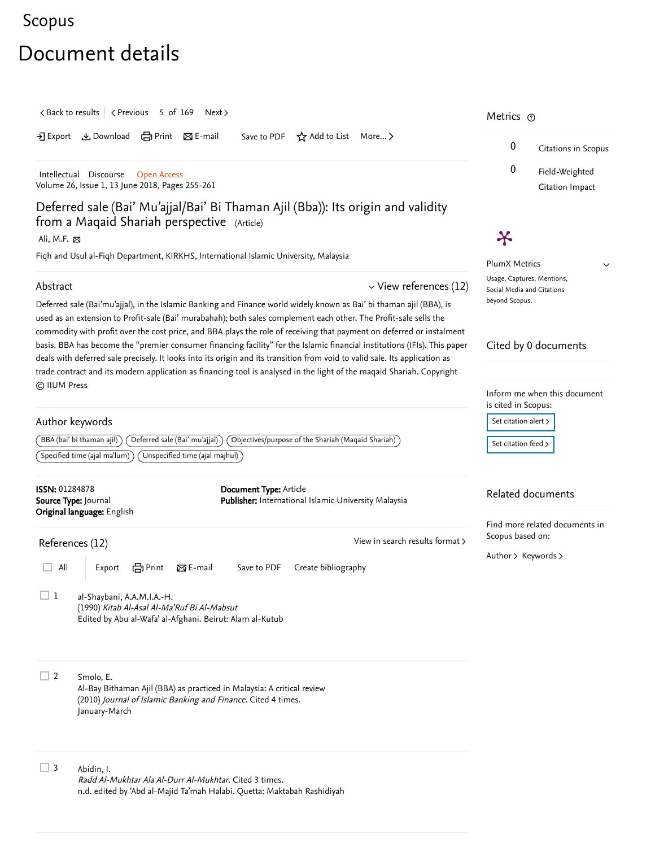## <span id="page-0-1"></span>[Scopus](https://www.scopus.com/home.uri?zone=header&origin=searchbasic)

## Document details

<span id="page-0-0"></span>

| $\langle$ Back to results $\langle$ Previous 5 of 169 Next $\rangle$                                                                                                                                                                                                                                                                                                                                          | Metrics $\odot$                                                                                                                                                                                                          |  |
|---------------------------------------------------------------------------------------------------------------------------------------------------------------------------------------------------------------------------------------------------------------------------------------------------------------------------------------------------------------------------------------------------------------|--------------------------------------------------------------------------------------------------------------------------------------------------------------------------------------------------------------------------|--|
| とDownload 白Print 図E-mail<br>Save to PDF $\overleftrightarrow{X}$ Add to List More ><br>$\overline{2}$ Export                                                                                                                                                                                                                                                                                                  | 0<br>Citations in Scopus<br>0                                                                                                                                                                                            |  |
| Intellectual Discourse<br><b>Open Access</b><br>Volume 26, Issue 1, 13 June 2018, Pages 255-261                                                                                                                                                                                                                                                                                                               | Field-Weighted<br>Citation Impact                                                                                                                                                                                        |  |
| Deferred sale (Bai' Mu'ajjal/Bai' Bi Thaman Ajil (Bba)): Its origin and validity<br>from a Maqaid Shariah perspective (Article)<br>Ali, M.F. ⊠                                                                                                                                                                                                                                                                | $\boldsymbol{\varkappa}$                                                                                                                                                                                                 |  |
| Fiqh and Usul al-Fiqh Department, KIRKHS, International Islamic University, Malaysia                                                                                                                                                                                                                                                                                                                          | <b>PlumX Metrics</b>                                                                                                                                                                                                     |  |
| $\vee$ View references (12)<br>Abstract<br>Deferred sale (Bai'mu'ajjal), in the Islamic Banking and Finance world widely known as Bai' bi thaman ajil (BBA), is<br>used as an extension to Profit-sale (Bai' murabahah); both sales complement each other. The Profit-sale sells the<br>commodity with profit over the cost price, and BBA plays the role of receiving that payment on deferred or instalment | Usage, Captures, Mentions,<br>Social Media and Citations<br>beyond Scopus.                                                                                                                                               |  |
| basis. BBA has become the "premier consumer financing facility" for the Islamic financial institutions (IFIs). This paper<br>deals with deferred sale precisely. It looks into its origin and its transition from void to valid sale. Its application as<br>trade contract and its modern application as financing tool is analysed in the light of the maqaid Shariah. Copyright                             | Cited by 0 documents<br>Inform me when this document<br>is cited in Scopus:<br>Set citation alert ><br>$\left\{ \right\}$ Objectives/purpose of the Shariah (Maqaid Shariah) $\left\{ \right\}$<br>Set citation feed $>$ |  |
| © IIUM Press<br>Author keywords<br>BBA (bai' bi thaman ajil)<br>Deferred sale (Bai' mu'ajjal)<br>$\hat{}$ Specified time (ajal ma'lum) $\hat{}$<br>Unspecified time (ajal majhul)                                                                                                                                                                                                                             |                                                                                                                                                                                                                          |  |
| <b>ISSN: 01284878</b><br>Document Type: Article<br>Publisher: International Islamic University Malaysia<br>Source Type: Journal<br>Original language: English                                                                                                                                                                                                                                                 | Related documents                                                                                                                                                                                                        |  |
| View in search results format ><br>References (12)<br><b>合</b> Print<br>区 E-mail<br>All<br>Save to PDF<br>Create bibliography<br>Export                                                                                                                                                                                                                                                                       | Find more related documents in<br>Scopus based on:<br>Author > Keywords >                                                                                                                                                |  |
| $\mathbf{1}$<br>al-Shaybani, A.A.M.I.A.-H.<br>(1990) Kitab Al-Asal Al-Ma'Ruf Bi Al-Mabsut<br>Edited by Abu al-Wafa' al-Afghani. Beirut: Alam al-Kutub                                                                                                                                                                                                                                                         |                                                                                                                                                                                                                          |  |
| $\Box$ 2<br>Smolo, E.<br>Al-Bay Bithaman Ajil (BBA) as practiced in Malaysia: A critical review<br>(2010) Journal of Islamic Banking and Finance. Cited 4 times.<br>January-March                                                                                                                                                                                                                             |                                                                                                                                                                                                                          |  |
| $\Box$ 3<br>Abidin, I.<br>Radd Al-Mukhtar Ala Al-Durr Al-Mukhtar, Cited 3 times.<br>n.d. edited by 'Abd al-Majid Ta'mah Halabi. Quetta: Maktabah Rashidiyah                                                                                                                                                                                                                                                   |                                                                                                                                                                                                                          |  |